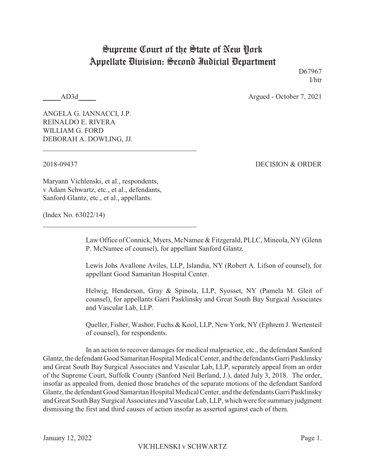## Supreme Court of the State of New York Appellate Division: Second Judicial Department

D67967 I/htr

AD3d Argued - October 7, 2021

ANGELA G. IANNACCI, J.P. REINALDO E. RIVERA WILLIAM G. FORD DEBORAH A. DOWLING, JJ.

2018-09437 DECISION & ORDER

Maryann Vichlenski, et al., respondents, v Adam Schwartz, etc., et al., defendants, Sanford Glantz, etc., et al., appellants.

(Index No. 63022/14)

Law Office of Connick, Myers, McNamee & Fitzgerald, PLLC, Mineola, NY (Glenn P. McNamee of counsel), for appellant Sanford Glantz.

Lewis Johs Avallone Aviles, LLP, Islandia, NY (Robert A. Lifson of counsel), for appellant Good Samaritan Hospital Center.

Helwig, Henderson, Gray & Spinola, LLP, Syosset, NY (Pamela M. Gleit of counsel), for appellants Garri Pasklinsky and Great South Bay Surgical Associates and Vascular Lab, LLP.

Queller, Fisher, Washor, Fuchs & Kool, LLP, New York, NY (Ephrem J. Wertenteil of counsel), for respondents.

In an action to recover damages for medical malpractice, etc., the defendant Sanford Glantz, the defendantGood Samaritan Hospital Medical Center, and the defendants Garri Pasklinsky and Great South Bay Surgical Associates and Vascular Lab, LLP, separately appeal from an order of the Supreme Court, Suffolk County (Sanford Neil Berland, J.), dated July 3, 2018. The order, insofar as appealed from, denied those branches of the separate motions of the defendant Sanford Glantz, the defendant Good Samaritan Hospital Medical Center, and the defendants Garri Pasklinsky and Great South BaySurgical Associates and Vascular Lab, LLP, which were for summaryjudgment dismissing the first and third causes of action insofar as asserted against each of them.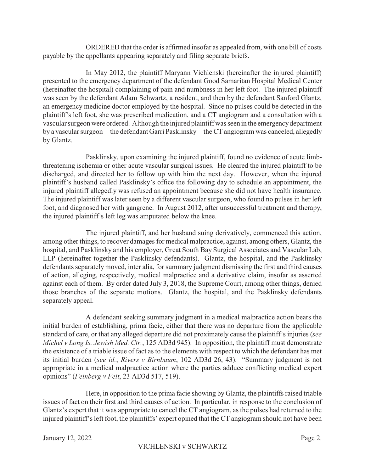ORDERED that the order is affirmed insofar as appealed from, with one bill of costs payable by the appellants appearing separately and filing separate briefs.

In May 2012, the plaintiff Maryann Vichlenski (hereinafter the injured plaintiff) presented to the emergency department of the defendant Good Samaritan Hospital Medical Center (hereinafter the hospital) complaining of pain and numbness in her left foot. The injured plaintiff was seen by the defendant Adam Schwartz, a resident, and then by the defendant Sanford Glantz, an emergency medicine doctor employed by the hospital. Since no pulses could be detected in the plaintiff's left foot, she was prescribed medication, and a CT angiogram and a consultation with a vascular surgeon were ordered. Although the injured plaintiff was seen in the emergencydepartment by a vascular surgeon—the defendant Garri Pasklinsky—the CT angiogram was canceled, allegedly by Glantz.

Pasklinsky, upon examining the injured plaintiff, found no evidence of acute limbthreatening ischemia or other acute vascular surgical issues. He cleared the injured plaintiff to be discharged, and directed her to follow up with him the next day. However, when the injured plaintiff's husband called Pasklinsky's office the following day to schedule an appointment, the injured plaintiff allegedly was refused an appointment because she did not have health insurance. The injured plaintiff was later seen by a different vascular surgeon, who found no pulses in her left foot, and diagnosed her with gangrene. In August 2012, after unsuccessful treatment and therapy, the injured plaintiff's left leg was amputated below the knee.

The injured plaintiff, and her husband suing derivatively, commenced this action, among other things, to recover damages for medical malpractice, against, among others, Glantz, the hospital, and Pasklinsky and his employer, Great South Bay Surgical Associates and Vascular Lab, LLP (hereinafter together the Pasklinsky defendants). Glantz, the hospital, and the Pasklinsky defendants separatelymoved, inter alia, for summary judgment dismissing the first and third causes of action, alleging, respectively, medical malpractice and a derivative claim, insofar as asserted against each of them. By order dated July 3, 2018, the Supreme Court, among other things, denied those branches of the separate motions. Glantz, the hospital, and the Pasklinsky defendants separately appeal.

A defendant seeking summary judgment in a medical malpractice action bears the initial burden of establishing, prima facie, either that there was no departure from the applicable standard of care, or that any alleged departure did not proximately cause the plaintiff's injuries (*see Michel v Long Is. Jewish Med. Ctr.*, 125 AD3d 945). In opposition, the plaintiff must demonstrate the existence of a triable issue of fact as to the elements with respect to which the defendant has met its initial burden (*see id.*; *Rivers v Birnbaum*, 102 AD3d 26, 43). "Summary judgment is not appropriate in a medical malpractice action where the parties adduce conflicting medical expert opinions" (*Feinberg v Feit*, 23 AD3d 517, 519).

Here, in opposition to the prima facie showing by Glantz, the plaintiffs raised triable issues of fact on their first and third causes of action. In particular, in response to the conclusion of Glantz's expert that it was appropriate to cancel the CT angiogram, as the pulses had returned to the injured plaintiff's left foot, the plaintiffs' expert opined that the CT angiogram should not have been